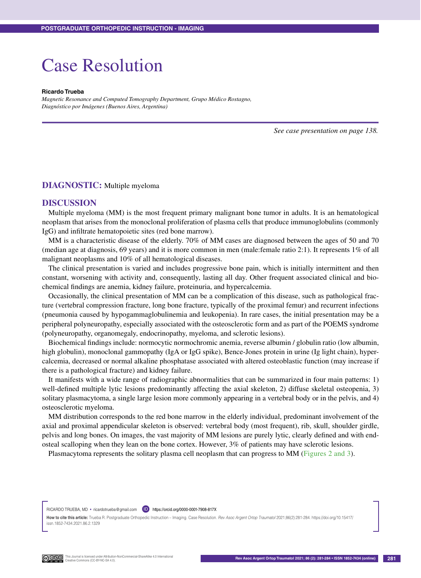## Case Resolution

## **Ricardo Trueba**

*Magnetic Resonance and Computed Tomography Department, Grupo Médico Rostagno, Diagnóstico por Imágenes (Buenos Aires, Argentina)*

*See case presentation on page 138.*

## **DIAGNOSTIC:** Multiple myeloma

## **DISCUSSION**

Multiple myeloma (MM) is the most frequent primary malignant bone tumor in adults. It is an hematological neoplasm that arises from the monoclonal proliferation of plasma cells that produce immunoglobulins (commonly IgG) and infiltrate hematopoietic sites (red bone marrow).

MM is a characteristic disease of the elderly. 70% of MM cases are diagnosed between the ages of 50 and 70 (median age at diagnosis, 69 years) and it is more common in men (male:female ratio 2:1). It represents 1% of all malignant neoplasms and 10% of all hematological diseases.

The clinical presentation is varied and includes progressive bone pain, which is initially intermittent and then constant, worsening with activity and, consequently, lasting all day. Other frequent associated clinical and biochemical findings are anemia, kidney failure, proteinuria, and hypercalcemia.

Occasionally, the clinical presentation of MM can be a complication of this disease, such as pathological fracture (vertebral compression fracture, long bone fracture, typically of the proximal femur) and recurrent infections (pneumonia caused by hypogammaglobulinemia and leukopenia). In rare cases, the initial presentation may be a peripheral polyneuropathy, especially associated with the osteosclerotic form and as part of the POEMS syndrome (polyneuropathy, organomegaly, endocrinopathy, myeloma, and sclerotic lesions).

Biochemical findings include: normocytic normochromic anemia, reverse albumin / globulin ratio (low albumin, high globulin), monoclonal gammopathy (IgA or IgG spike), Bence-Jones protein in urine (Ig light chain), hypercalcemia, decreased or normal alkaline phosphatase associated with altered osteoblastic function (may increase if there is a pathological fracture) and kidney failure.

It manifests with a wide range of radiographic abnormalities that can be summarized in four main patterns: 1) well-defined multiple lytic lesions predominantly affecting the axial skeleton, 2) diffuse skeletal osteopenia, 3) solitary plasmacytoma, a single large lesion more commonly appearing in a vertebral body or in the pelvis, and 4) osteosclerotic myeloma.

MM distribution corresponds to the red bone marrow in the elderly individual, predominant involvement of the axial and proximal appendicular skeleton is observed: vertebral body (most frequent), rib, skull, shoulder girdle, pelvis and long bones. On images, the vast majority of MM lesions are purely lytic, clearly defined and with endosteal scalloping when they lean on the bone cortex. However, 3% of patients may have sclerotic lesions.

Plasmacytoma represents the solitary plasma cell neoplasm that can progress to MM (Figures 2 and 3).

RICARDO TRUEBA, MD · ricardotrueba@gmail.com **D** https://orcid.org/0000-0001-7908-817X

**How to cite this article:** Trueba R. Postgraduate Orthopedic Instruction – Imaging. Case Resolution. *Rev Asoc Argent Ortop Traumatol* 2021;86(2):281-284. https://doi.org/10.15417/ issn.1852-7434.2021.86.2.1329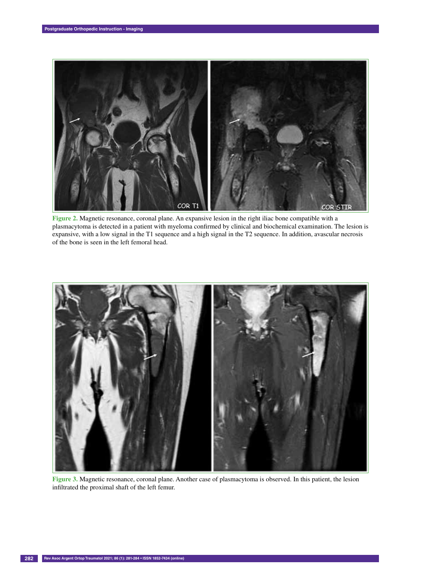

**Figure 2.** Magnetic resonance, coronal plane. An expansive lesion in the right iliac bone compatible with a plasmacytoma is detected in a patient with myeloma confirmed by clinical and biochemical examination. The lesion is expansive, with a low signal in the T1 sequence and a high signal in the T2 sequence. In addition, avascular necrosis of the bone is seen in the left femoral head.



**Figure 3.** Magnetic resonance, coronal plane. Another case of plasmacytoma is observed. In this patient, the lesion infiltrated the proximal shaft of the left femur.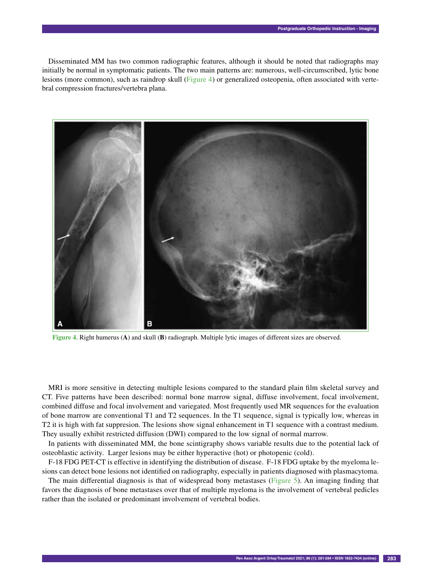Disseminated MM has two common radiographic features, although it should be noted that radiographs may initially be normal in symptomatic patients. The two main patterns are: numerous, well-circumscribed, lytic bone lesions (more common), such as raindrop skull (Figure 4) or generalized osteopenia, often associated with vertebral compression fractures/vertebra plana.



**Figure 4.** Right humerus (**A**) and skull (**B**) radiograph. Multiple lytic images of different sizes are observed.

MRI is more sensitive in detecting multiple lesions compared to the standard plain film skeletal survey and CT. Five patterns have been described: normal bone marrow signal, diffuse involvement, focal involvement, combined diffuse and focal involvement and variegated. Most frequently used MR sequences for the evaluation of bone marrow are conventional T1 and T2 sequences. In the T1 sequence, signal is typically low, whereas in T2 it is high with fat suppresion. The lesions show signal enhancement in T1 sequence with a contrast medium. They usually exhibit restricted diffusion (DWI) compared to the low signal of normal marrow.

In patients with disseminated MM, the bone scintigraphy shows variable results due to the potential lack of osteoblastic activity. Larger lesions may be either hyperactive (hot) or photopenic (cold).

F-18 FDG PET-CT is effective in identifying the distribution of disease. F-18 FDG uptake by the myeloma lesions can detect bone lesions not identified on radiography, especially in patients diagnosed with plasmacytoma.

The main differential diagnosis is that of widespread bony metastases (Figure 5). An imaging finding that favors the diagnosis of bone metastases over that of multiple myeloma is the involvement of vertebral pedicles rather than the isolated or predominant involvement of vertebral bodies.